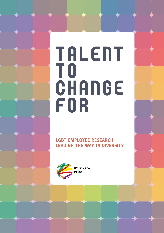# **TALENT** T O **CHANGE** F O R

**LGBT EMPLOYEE RESEARCH LEADING THE WAY IN DIVERSITY**

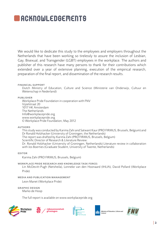# **ACKNOWLEDGEMENTS**

We would like to dedicate this study to the employees and employers throughout the Netherlands that have been working so tirelessly to assure the inclusion of Lesbian, Gay, Bisexual, and Transgender (LGBT) employees in the workplace. The authors and publisher of this research have many persons to thank for their contributions which extended over a year of extensive planning, execution of the empirical research, preparation of the final report, and dissemination of the research results.

#### **EINANCIAL SUPPORT**

Dutch Ministry of Education, Culture and Science (Ministerie van Onderwijs, Cultuur en Wetenschap in Nederland)

**PUBLISHER** 

Workplace Pride Foundation in cooperation with FNV Vijzelstraat 20 1017 HK Amsterdam The Netherlands Info@workplacepride.org www.workplacepride.org © Workplace Pride Foundation, May 2012

**AUTHORS** 

This study was conducted by Karima Zahi and Satwant Kaur (PRO FIRMUS, Brussels, Belgium) and Dr Ronald Holzhacker (University of Groningen, the Netherlands) The report was drafted by Karima Zahi (PRO FIRMUS, Brussels, Belgium) Scientific Director of Research & Literature Review: Dr. Ronald Holzhacker (University of Groningen, Netherlands) Literature review in collaboration with Jos Boerties (Graduate Student, University of Twente, Netherlands)

**EDITOR** 

Karima Zahi (PRO FIRMUS, Brussels, Belgium)

WORKPLACE PRIDE RESEARCH AND KNOWLEDGE TASK FORCE: Lin McDevitt-Pugh (Netsheila), Lonneke van den Hoonaard (IHLIA), David Pollard (Workplace Pride)

#### **MEDIA AND PUBLICATION MANAGEMENT**

Leon Manet (Workplace Pride)

**GRAPHIC DESIGN** [Marko de Hoop](http://www.markodehoop.nl)

The full report is available on www.workplacepride.org







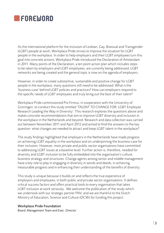## **REGREGIORD**

As the international platform for the inclusion of Lesbian, Gay, Bisexual and Transgender (LGBT) people at work, Workplace Pride strives to improve the situation for LGBT people in the workplace. In order to help employers and their LGBT employees turn this goal into concrete actions, Workplace Pride introduced the Declaration of Amsterdam in 2011. Many points of the Declaration, a ten point action plan which includes steps to be taken by employers and LGBT employees, are currently being addressed; LGBT networks are being created and the general topic is now on the agenda of employers.

However, in order to create substantive, sustainable and positive change for LGBT people in the workplace, many questions still need to be addressed: What is the 'business case' behind LGBT policies and practices? How can employers respond to the specific needs of LGBT employees and truly bring out the best of their talent?

Workplace Pride commissioned Pro Firmus, in cooperation with the University of Groningen, to conduct this study entitled 'TALENT TO CHANGE FOR: LGBT Employee Research Leading the Way in Diversity'. This research explores the questions above and makes concrete recommendations that aim to improve LGBT diversity and inclusion in the workplace in the Netherlands and beyond. Research and data collection was carried out between November 2011 and April 2012 and aimed to find the answers to the key question: what changes are needed to attract and keep LGBT talent in the workplace?

The study findings highlighted that employers in the Netherlands have made progress on achieving LGBT equality in the workplace and on underpinning the business case for their inclusion. However, most private and public sector organisations have committed to addressing LGBT issues at a baseline level. Further action is, therefore, needed for diversity and LGBT inclusion to be fully embedded into the organisation's culture, business strategy and structures. Change agents among senior and middle management have a key role to play in engaging in diversity in words and deeds, in achieving measurable progress and in enhancing their understanding of the benefits of diversity.

This study is unique because it builds on and reflects the true experience of employers and employees, in both public and private sector organisations. It defines critical success factors and offers practical tools to every organisation that takes LGBT inclusion at work seriously. We welcome the publication of the study which we undertook with our strategic partner FNV, and we are thankful to the Dutch Ministry of Education, Science and Culture (OCW) for funding this project.

#### Workplace Pride Foundation

*Board, Management Team and Exec. Director*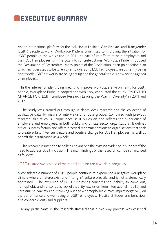## **EXECUTIVE SUMMARY**

As the international platform for the inclusion of Lesbian, Gay, Bisexual and Transgender (LGBT) people at work, Workplace Pride is committed to improving the situation for LGBT people in the workplace. In 2011, as part of its efforts to help employers and their LGBT employees turn this goal into concrete actions, Workplace Pride introduced the Declaration of Amsterdam. Many points of the Declaration, a ten point action plan which includes steps to be taken by employers and LGBT employees, are currently being addressed; LGBT networks are being set up and the general topic is now on the agenda of employers.

In the interest of identifying means to improve workplace environments for LGBT people, Workplace Pride, in cooperation with FNV, conducted the study 'TALENT TO CHANGE FOR: LGBT Employee Research Leading the Way in Diversity' in 2011 and 2012.

The study was carried out through in-depth desk research and the collection of qualitative data, by means of interviews and focus groups. Compared with previous research, this study is unique because it builds on and reflects the experience of employers and employees, in both public and private sector organisations. It defines critical success factors and offers practical recommendations to organisations that seek to create substantive, sustainable and positive change for LGBT employees, as well as benefit the organisation as a whole.

This research is intended to collate and analyse the existing evidence in support of the need to address LGBT inclusion. The main findings of the research can be summarised as follows:

#### LGBT-related workplace climate and culture are a work in progress

A considerable number of LGBT people continue to experience a negative workplace climate where a heterosexist and "fitting in" culture prevails, and is not systematically addressed. The exclusion of LGBT employees concerns the inability to come out, homophobia and transphobia, lack of visibility, exclusion from international mobility and harassment. Anxiety about coming out and a homophobic climate impact negatively on the performance and well-being of LGBT employees. Hostile attitudes and behaviour also concern clients and suppliers.

Many participants in the research stressed that a two-way process was essential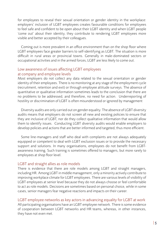for employees to reveal their sexual orientation or gender identity in the workplace: employers' inclusion of LGBT employees creates favourable conditions for employees to feel safe and confident to be open about their LGBT identity and when LGBT people 'come out' about their identity, they contribute to rendering LGBT employees more visible and better accepted by their colleagues.

Coming out is more prevalent in an office environment than on the shop floor where LGBT employees face greater barriers to self-identifying as LGBT. The situation is more difficult in rural areas or provincial towns. Generally in male-dominated sectors or occupational activities and in the armed forces, LGBT are less likely to come out.

### Low awareness of issues affecting LGBT employees at company and employee levels

Most employers do not collect any data related to the sexual orientation or gender identity of their employees. There is no monitoring at any stage of the employment cycle (recruitment, retention and exit) or through employee attitude surveys. The absence of quantitative or qualitative information sometimes leads to the conclusion that there are no problems to be addressed, and therefore, no need for action. Underreporting of hostility or discrimination of LGBT is often misunderstood or ignored by management

Diversity audits are only carried out on gender equality. The absence of LGBT diversity audits means that employers do not screen all new and existing policies to ensure that they are inclusive of LGBT, nor do they collect qualitative information that would allow them to identify issues. Conducting LGBT diversity audits would enable employers to develop policies and actions that are better informed and targeted, thus more efficient.

Some line-managers and staff who deal with complaints are not always adequately equipped or competent to deal with LGBT exclusion issues or to provide the necessary support and solutions. In many organisations, employees do not benefit from LGBTawareness training. Such training is sometimes offered to managers, but more rarely to employees at shop floor level.

### LGBT and straight allies as role models

There is evidence that there are role models among LGBT and straight managers, including HR. Among LGBT in middle management, only a minority actively contribute to improving workplace climate for LGBT employees. There are various levels of visibility of LGBT employees at senior level because they do not always choose or feel comfortable to act as role models. Decisions are sometimes based on personal choice, while in some cases, senior managers fear negative reactions and impacts on their career.

## LGBT employee networks as key actors in advancing equality for LGBT at work All participating organisations have an LGBT employee network. There is some evidence of cooperation between LGBT networks and HR teams, whereas, in other instances,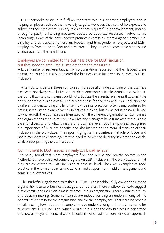LGBT networks continue to fulfil an important role in supporting employees and in helping employers achieve their diversity targets. However, they cannot be expected to substitute their employers' primary role and they require further development, notably through capacity enhancing measures backed by adequate resources. Networks are increasingly aware of their own need to promote diversity by improving the membership, visibility and participation of lesbian, bisexual and transgender employees, and LGBT employees from the shop floor and rural areas. They too can become role models and change agents in the near future.

### Employers are committed to the business case for LGBT inclusion, but they need to articulate it, implement it and measure it

A large number of representatives from organisations reported that their leaders were committed to and actually promoted the business case for diversity, as well as LGBT inclusion.

Attempts to ascertain these companies' more specific understanding of the business case were not always conclusive. Although in some companies the definition was clearer, we found that many companies could not articulate the essential elements that constitute and support the business case. The business case for diversity and LGBT inclusion had a different understanding and lent itself to wide interpretation, often being confused for having some (stand-alone) diversity initiatives in place, but it was not necessarily linked to what exactly the business case translated to in the different organisations. Companies and organisations tend to rely on how diversity managers have translated the business case for diversity and what it means at a business level. LGBT employees recognised the importance of business benefits and also insisted on the moral dimension of their inclusion in the workplace. The report highlights the quintessential role of CEOs and Board members as change agents who need to commit to diversity in words and deeds, whilst underpinning the business case.

#### Commitment to LGBT issues is mainly at a baseline level

The study found that many employers from the public and private sectors in the Netherlands have achieved some progress on LGBT inclusion in the workplace and that they are committed to LGBT inclusion at baseline level. There are examples of good practice in the form of policies and actions, and support from middle management and some senior executives.

The study findings demonstrate that LGBT inclusion is seldom fully embedded into the organisation's culture, business strategy and structures. There is little evidence to suggest that diversity and inclusion is mainstreamed into an organisation's core business activity and decision-making. Some companies are indeed building an understanding of the benefits of diversity for the organisation and for their employees. That learning process entails moving towards a more comprehensive understanding of the business case for diversity and LGBT inclusion, which would help shape the way business is performed and how employees interact at work. It could likewise lead to a more consistent approach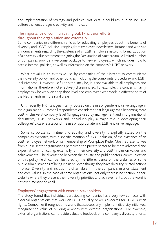and implementation of strategy and policies. Not least, it could result in an inclusive culture that encourages creativity and innovation.

### The importance of communicating LGBT-inclusion efforts throughout the organisation and externally

Some companies use different vehicles for educating employees about the benefits of diversity and LGBT inclusion, ranging from employee newsletters, intranet and web site announcements regarding the existence of an LGBT employee network, formal adoption of a diversity value statement to signing the Declaration of Amsterdam . A limited number of companies provide a welcome package to new employees, which includes how to access internal policies, as well as information on the company's LGBT network.

What prevails is an extensive use by companies of their intranet to communicate their diversity policy (and other policies, including the complaints procedure) and LGBT inclusiveness. However useful this tool may be, it is not available to all employees and information is, therefore, not effectively disseminated. For example, this concerns mainly employees who work on shop floor level and employees who work in different parts of the Netherlands in more rural areas.

Until recently, HR managers mainly focused on the use of gender-inclusive language in the organisation. Almost all respondents considered that language was becoming more LGBT-inclusive at company level (language used by management and in organisational documents). LGBT networks and individuals play a major role in developing their colleagues' awareness around the use of appropriate and LGBT-inclusive language.

Some corporate commitment to equality and diversity is explicitly stated on the companies' websites, with a specific mention of LGBT inclusion, of the existence of an LGBT employee network or its membership of Workplace Pride. Most representatives from public sector organisations perceived the private sector to be more advanced and expert at communicating, externally, on their diversity and LGBT inclusion values and achievements. The divergence between the private and public sectors' communication on this policy field can be illustrated by the little evidence on the websites of some public administrations of being inclusive, even though they have diversity-related actions in place. Diversity and inclusion is often absent in the company's mission statement and core values. In the case of some organisations, not only there is no section in their website where they present their diversity priorities and achievements, but the word is not even mentioned at all.

#### Employers' engagement with external stakeholders

The study found that individual participating companies have very few contacts with external organisations that work on LGBT equality or are advocates for LGBT human rights. Companies throughout the world that successfully implement diversity initiatives, recognise the value of building alliances with external organisations. For example, external organisations can provide valuable feedback on a company's diversity efforts,